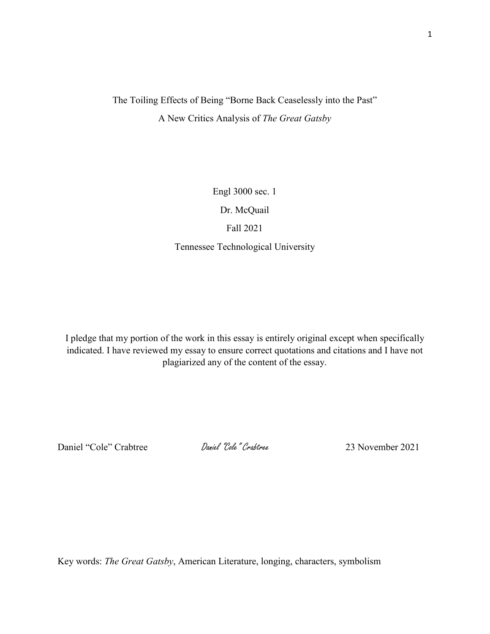## The Toiling Effects of Being "Borne Back Ceaselessly into the Past" A New Critics Analysis of *The Great Gatsby*

Engl 3000 sec. 1

Dr. McQuail

## Fall 2021

Tennessee Technological University

I pledge that my portion of the work in this essay is entirely original except when specifically indicated. I have reviewed my essay to ensure correct quotations and citations and I have not plagiarized any of the content of the essay.

Daniel "Cole" Crabtree Daniel "Cole" Crabtree 23 November 2021

Key words: *The Great Gatsby*, American Literature, longing, characters, symbolism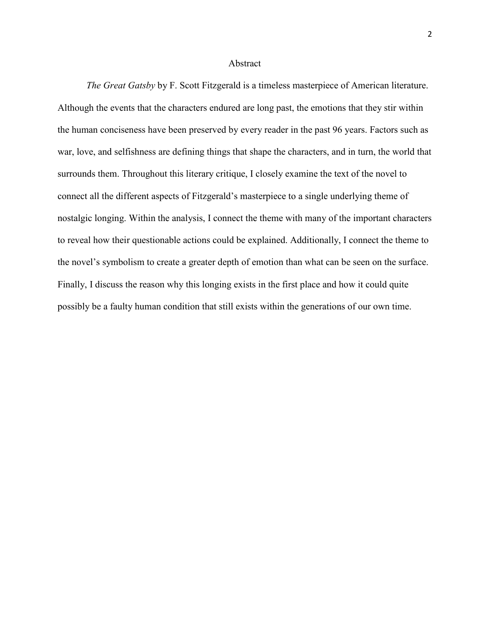## Abstract

*The Great Gatsby* by F. Scott Fitzgerald is a timeless masterpiece of American literature. Although the events that the characters endured are long past, the emotions that they stir within the human conciseness have been preserved by every reader in the past 96 years. Factors such as war, love, and selfishness are defining things that shape the characters, and in turn, the world that surrounds them. Throughout this literary critique, I closely examine the text of the novel to connect all the different aspects of Fitzgerald's masterpiece to a single underlying theme of nostalgic longing. Within the analysis, I connect the theme with many of the important characters to reveal how their questionable actions could be explained. Additionally, I connect the theme to the novel's symbolism to create a greater depth of emotion than what can be seen on the surface. Finally, I discuss the reason why this longing exists in the first place and how it could quite possibly be a faulty human condition that still exists within the generations of our own time.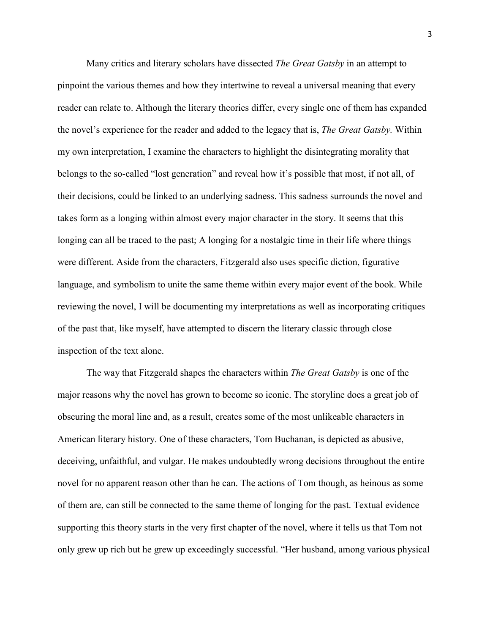Many critics and literary scholars have dissected *The Great Gatsby* in an attempt to pinpoint the various themes and how they intertwine to reveal a universal meaning that every reader can relate to. Although the literary theories differ, every single one of them has expanded the novel's experience for the reader and added to the legacy that is, *The Great Gatsby.* Within my own interpretation, I examine the characters to highlight the disintegrating morality that belongs to the so-called "lost generation" and reveal how it's possible that most, if not all, of their decisions, could be linked to an underlying sadness. This sadness surrounds the novel and takes form as a longing within almost every major character in the story. It seems that this longing can all be traced to the past; A longing for a nostalgic time in their life where things were different. Aside from the characters, Fitzgerald also uses specific diction, figurative language, and symbolism to unite the same theme within every major event of the book. While reviewing the novel, I will be documenting my interpretations as well as incorporating critiques of the past that, like myself, have attempted to discern the literary classic through close inspection of the text alone.

The way that Fitzgerald shapes the characters within *The Great Gatsby* is one of the major reasons why the novel has grown to become so iconic. The storyline does a great job of obscuring the moral line and, as a result, creates some of the most unlikeable characters in American literary history. One of these characters, Tom Buchanan, is depicted as abusive, deceiving, unfaithful, and vulgar. He makes undoubtedly wrong decisions throughout the entire novel for no apparent reason other than he can. The actions of Tom though, as heinous as some of them are, can still be connected to the same theme of longing for the past. Textual evidence supporting this theory starts in the very first chapter of the novel, where it tells us that Tom not only grew up rich but he grew up exceedingly successful. "Her husband, among various physical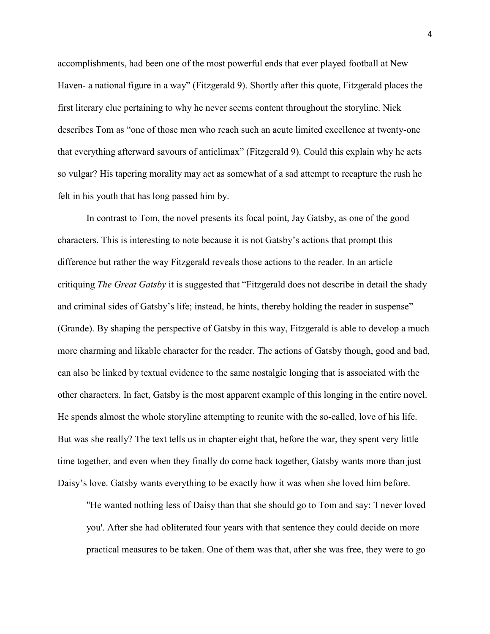accomplishments, had been one of the most powerful ends that ever played football at New Haven- a national figure in a way" (Fitzgerald 9). Shortly after this quote, Fitzgerald places the first literary clue pertaining to why he never seems content throughout the storyline. Nick describes Tom as "one of those men who reach such an acute limited excellence at twenty-one that everything afterward savours of anticlimax" (Fitzgerald 9). Could this explain why he acts so vulgar? His tapering morality may act as somewhat of a sad attempt to recapture the rush he felt in his youth that has long passed him by.

In contrast to Tom, the novel presents its focal point, Jay Gatsby, as one of the good characters. This is interesting to note because it is not Gatsby's actions that prompt this difference but rather the way Fitzgerald reveals those actions to the reader. In an article critiquing *The Great Gatsby* it is suggested that "Fitzgerald does not describe in detail the shady and criminal sides of Gatsby's life; instead, he hints, thereby holding the reader in suspense" (Grande). By shaping the perspective of Gatsby in this way, Fitzgerald is able to develop a much more charming and likable character for the reader. The actions of Gatsby though, good and bad, can also be linked by textual evidence to the same nostalgic longing that is associated with the other characters. In fact, Gatsby is the most apparent example of this longing in the entire novel. He spends almost the whole storyline attempting to reunite with the so-called, love of his life. But was she really? The text tells us in chapter eight that, before the war, they spent very little time together, and even when they finally do come back together, Gatsby wants more than just Daisy's love. Gatsby wants everything to be exactly how it was when she loved him before.

"He wanted nothing less of Daisy than that she should go to Tom and say: 'I never loved you'. After she had obliterated four years with that sentence they could decide on more practical measures to be taken. One of them was that, after she was free, they were to go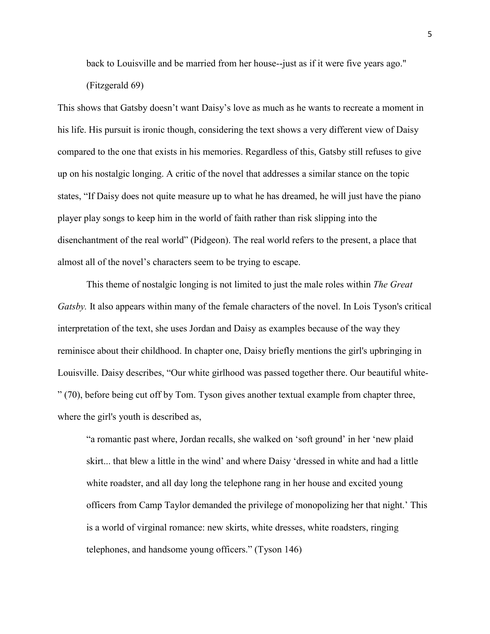back to Louisville and be married from her house--just as if it were five years ago."

(Fitzgerald 69)

This shows that Gatsby doesn't want Daisy's love as much as he wants to recreate a moment in his life. His pursuit is ironic though, considering the text shows a very different view of Daisy compared to the one that exists in his memories. Regardless of this, Gatsby still refuses to give up on his nostalgic longing. A critic of the novel that addresses a similar stance on the topic states, "If Daisy does not quite measure up to what he has dreamed, he will just have the piano player play songs to keep him in the world of faith rather than risk slipping into the disenchantment of the real world" (Pidgeon). The real world refers to the present, a place that almost all of the novel's characters seem to be trying to escape.

This theme of nostalgic longing is not limited to just the male roles within *The Great Gatsby.* It also appears within many of the female characters of the novel. In Lois Tyson's critical interpretation of the text, she uses Jordan and Daisy as examples because of the way they reminisce about their childhood. In chapter one, Daisy briefly mentions the girl's upbringing in Louisville. Daisy describes, "Our white girlhood was passed together there. Our beautiful white- " (70), before being cut off by Tom. Tyson gives another textual example from chapter three, where the girl's youth is described as,

"a romantic past where, Jordan recalls, she walked on 'soft ground' in her 'new plaid skirt... that blew a little in the wind' and where Daisy 'dressed in white and had a little white roadster, and all day long the telephone rang in her house and excited young officers from Camp Taylor demanded the privilege of monopolizing her that night.' This is a world of virginal romance: new skirts, white dresses, white roadsters, ringing telephones, and handsome young officers." (Tyson 146)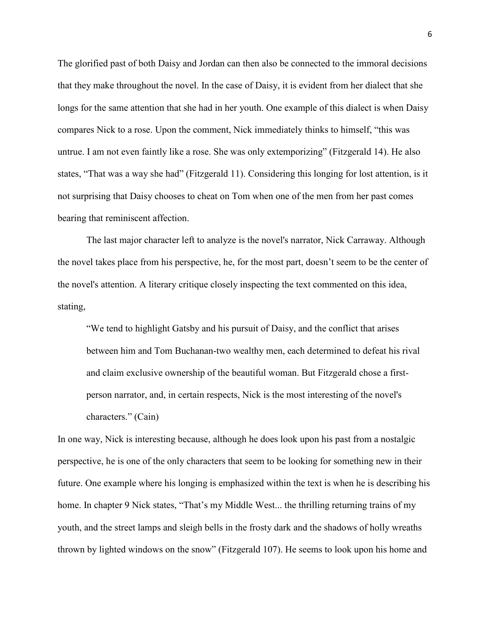The glorified past of both Daisy and Jordan can then also be connected to the immoral decisions that they make throughout the novel. In the case of Daisy, it is evident from her dialect that she longs for the same attention that she had in her youth. One example of this dialect is when Daisy compares Nick to a rose. Upon the comment, Nick immediately thinks to himself, "this was untrue. I am not even faintly like a rose. She was only extemporizing" (Fitzgerald 14). He also states, "That was a way she had" (Fitzgerald 11). Considering this longing for lost attention, is it not surprising that Daisy chooses to cheat on Tom when one of the men from her past comes bearing that reminiscent affection.

The last major character left to analyze is the novel's narrator, Nick Carraway. Although the novel takes place from his perspective, he, for the most part, doesn't seem to be the center of the novel's attention. A literary critique closely inspecting the text commented on this idea, stating,

"We tend to highlight Gatsby and his pursuit of Daisy, and the conflict that arises between him and Tom Buchanan-two wealthy men, each determined to defeat his rival and claim exclusive ownership of the beautiful woman. But Fitzgerald chose a firstperson narrator, and, in certain respects, Nick is the most interesting of the novel's characters." (Cain)

In one way, Nick is interesting because, although he does look upon his past from a nostalgic perspective, he is one of the only characters that seem to be looking for something new in their future. One example where his longing is emphasized within the text is when he is describing his home. In chapter 9 Nick states, "That's my Middle West... the thrilling returning trains of my youth, and the street lamps and sleigh bells in the frosty dark and the shadows of holly wreaths thrown by lighted windows on the snow" (Fitzgerald 107). He seems to look upon his home and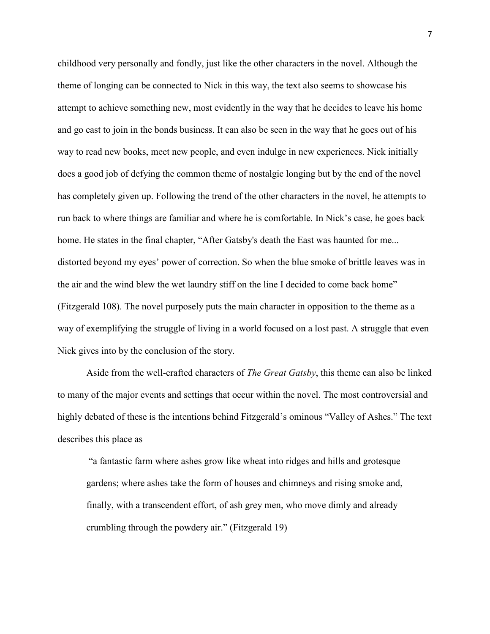childhood very personally and fondly, just like the other characters in the novel. Although the theme of longing can be connected to Nick in this way, the text also seems to showcase his attempt to achieve something new, most evidently in the way that he decides to leave his home and go east to join in the bonds business. It can also be seen in the way that he goes out of his way to read new books, meet new people, and even indulge in new experiences. Nick initially does a good job of defying the common theme of nostalgic longing but by the end of the novel has completely given up. Following the trend of the other characters in the novel, he attempts to run back to where things are familiar and where he is comfortable. In Nick's case, he goes back home. He states in the final chapter, "After Gatsby's death the East was haunted for me... distorted beyond my eyes' power of correction. So when the blue smoke of brittle leaves was in the air and the wind blew the wet laundry stiff on the line I decided to come back home" (Fitzgerald 108). The novel purposely puts the main character in opposition to the theme as a way of exemplifying the struggle of living in a world focused on a lost past. A struggle that even Nick gives into by the conclusion of the story.

Aside from the well-crafted characters of *The Great Gatsby*, this theme can also be linked to many of the major events and settings that occur within the novel. The most controversial and highly debated of these is the intentions behind Fitzgerald's ominous "Valley of Ashes." The text describes this place as

"a fantastic farm where ashes grow like wheat into ridges and hills and grotesque gardens; where ashes take the form of houses and chimneys and rising smoke and, finally, with a transcendent effort, of ash grey men, who move dimly and already crumbling through the powdery air." (Fitzgerald 19)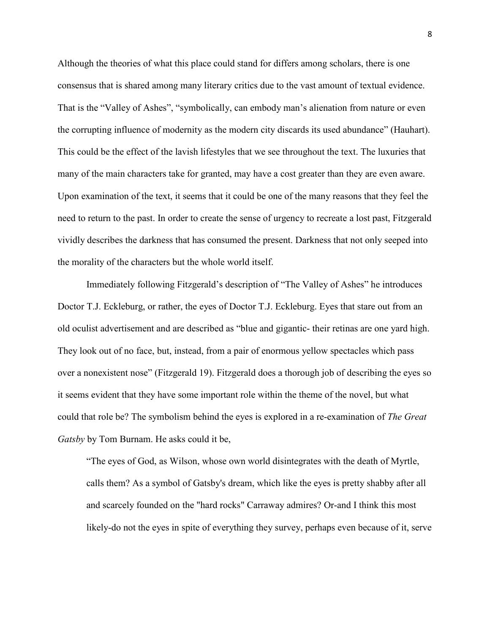Although the theories of what this place could stand for differs among scholars, there is one consensus that is shared among many literary critics due to the vast amount of textual evidence. That is the "Valley of Ashes", "symbolically, can embody man's alienation from nature or even the corrupting influence of modernity as the modern city discards its used abundance" (Hauhart). This could be the effect of the lavish lifestyles that we see throughout the text. The luxuries that many of the main characters take for granted, may have a cost greater than they are even aware. Upon examination of the text, it seems that it could be one of the many reasons that they feel the need to return to the past. In order to create the sense of urgency to recreate a lost past, Fitzgerald vividly describes the darkness that has consumed the present. Darkness that not only seeped into the morality of the characters but the whole world itself.

Immediately following Fitzgerald's description of "The Valley of Ashes" he introduces Doctor T.J. Eckleburg, or rather, the eyes of Doctor T.J. Eckleburg. Eyes that stare out from an old oculist advertisement and are described as "blue and gigantic- their retinas are one yard high. They look out of no face, but, instead, from a pair of enormous yellow spectacles which pass over a nonexistent nose" (Fitzgerald 19). Fitzgerald does a thorough job of describing the eyes so it seems evident that they have some important role within the theme of the novel, but what could that role be? The symbolism behind the eyes is explored in a re-examination of *The Great Gatsby* by Tom Burnam. He asks could it be,

"The eyes of God, as Wilson, whose own world disintegrates with the death of Myrtle, calls them? As a symbol of Gatsby's dream, which like the eyes is pretty shabby after all and scarcely founded on the "hard rocks" Carraway admires? Or-and I think this most likely-do not the eyes in spite of everything they survey, perhaps even because of it, serve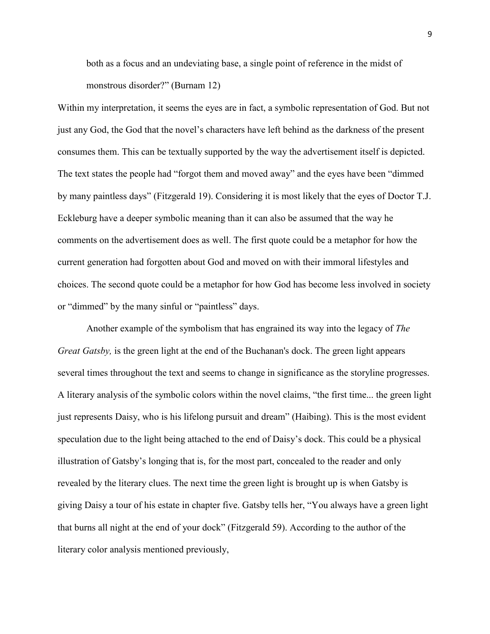both as a focus and an undeviating base, a single point of reference in the midst of monstrous disorder?" (Burnam 12)

Within my interpretation, it seems the eyes are in fact, a symbolic representation of God. But not just any God, the God that the novel's characters have left behind as the darkness of the present consumes them. This can be textually supported by the way the advertisement itself is depicted. The text states the people had "forgot them and moved away" and the eyes have been "dimmed by many paintless days" (Fitzgerald 19). Considering it is most likely that the eyes of Doctor T.J. Eckleburg have a deeper symbolic meaning than it can also be assumed that the way he comments on the advertisement does as well. The first quote could be a metaphor for how the current generation had forgotten about God and moved on with their immoral lifestyles and choices. The second quote could be a metaphor for how God has become less involved in society or "dimmed" by the many sinful or "paintless" days.

Another example of the symbolism that has engrained its way into the legacy of *The Great Gatsby,* is the green light at the end of the Buchanan's dock. The green light appears several times throughout the text and seems to change in significance as the storyline progresses. A literary analysis of the symbolic colors within the novel claims, "the first time... the green light just represents Daisy, who is his lifelong pursuit and dream" (Haibing). This is the most evident speculation due to the light being attached to the end of Daisy's dock. This could be a physical illustration of Gatsby's longing that is, for the most part, concealed to the reader and only revealed by the literary clues. The next time the green light is brought up is when Gatsby is giving Daisy a tour of his estate in chapter five. Gatsby tells her, "You always have a green light that burns all night at the end of your dock" (Fitzgerald 59). According to the author of the literary color analysis mentioned previously,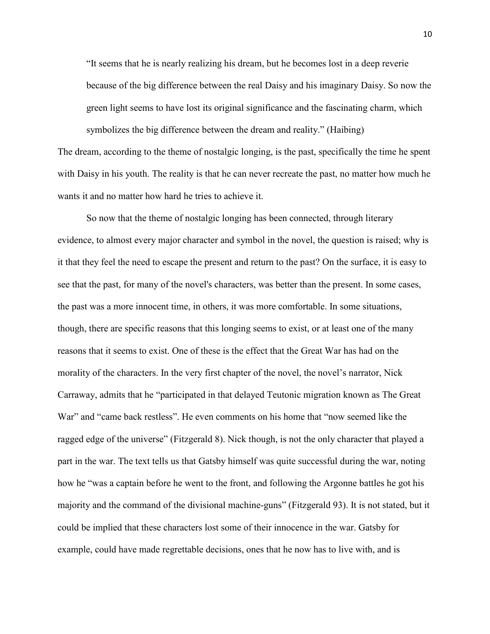"It seems that he is nearly realizing his dream, but he becomes lost in a deep reverie because of the big difference between the real Daisy and his imaginary Daisy. So now the green light seems to have lost its original significance and the fascinating charm, which symbolizes the big difference between the dream and reality." (Haibing)

The dream, according to the theme of nostalgic longing, is the past, specifically the time he spent with Daisy in his youth. The reality is that he can never recreate the past, no matter how much he wants it and no matter how hard he tries to achieve it.

So now that the theme of nostalgic longing has been connected, through literary evidence, to almost every major character and symbol in the novel, the question is raised; why is it that they feel the need to escape the present and return to the past? On the surface, it is easy to see that the past, for many of the novel's characters, was better than the present. In some cases, the past was a more innocent time, in others, it was more comfortable. In some situations, though, there are specific reasons that this longing seems to exist, or at least one of the many reasons that it seems to exist. One of these is the effect that the Great War has had on the morality of the characters. In the very first chapter of the novel, the novel's narrator, Nick Carraway, admits that he "participated in that delayed Teutonic migration known as The Great War" and "came back restless". He even comments on his home that "now seemed like the ragged edge of the universe" (Fitzgerald 8). Nick though, is not the only character that played a part in the war. The text tells us that Gatsby himself was quite successful during the war, noting how he "was a captain before he went to the front, and following the Argonne battles he got his majority and the command of the divisional machine-guns" (Fitzgerald 93). It is not stated, but it could be implied that these characters lost some of their innocence in the war. Gatsby for example, could have made regrettable decisions, ones that he now has to live with, and is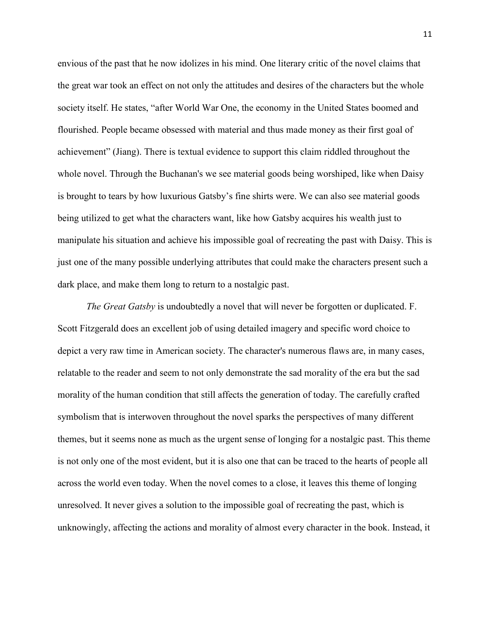envious of the past that he now idolizes in his mind. One literary critic of the novel claims that the great war took an effect on not only the attitudes and desires of the characters but the whole society itself. He states, "after World War One, the economy in the United States boomed and flourished. People became obsessed with material and thus made money as their first goal of achievement" (Jiang). There is textual evidence to support this claim riddled throughout the whole novel. Through the Buchanan's we see material goods being worshiped, like when Daisy is brought to tears by how luxurious Gatsby's fine shirts were. We can also see material goods being utilized to get what the characters want, like how Gatsby acquires his wealth just to manipulate his situation and achieve his impossible goal of recreating the past with Daisy. This is just one of the many possible underlying attributes that could make the characters present such a dark place, and make them long to return to a nostalgic past.

*The Great Gatsby* is undoubtedly a novel that will never be forgotten or duplicated. F. Scott Fitzgerald does an excellent job of using detailed imagery and specific word choice to depict a very raw time in American society. The character's numerous flaws are, in many cases, relatable to the reader and seem to not only demonstrate the sad morality of the era but the sad morality of the human condition that still affects the generation of today. The carefully crafted symbolism that is interwoven throughout the novel sparks the perspectives of many different themes, but it seems none as much as the urgent sense of longing for a nostalgic past. This theme is not only one of the most evident, but it is also one that can be traced to the hearts of people all across the world even today. When the novel comes to a close, it leaves this theme of longing unresolved. It never gives a solution to the impossible goal of recreating the past, which is unknowingly, affecting the actions and morality of almost every character in the book. Instead, it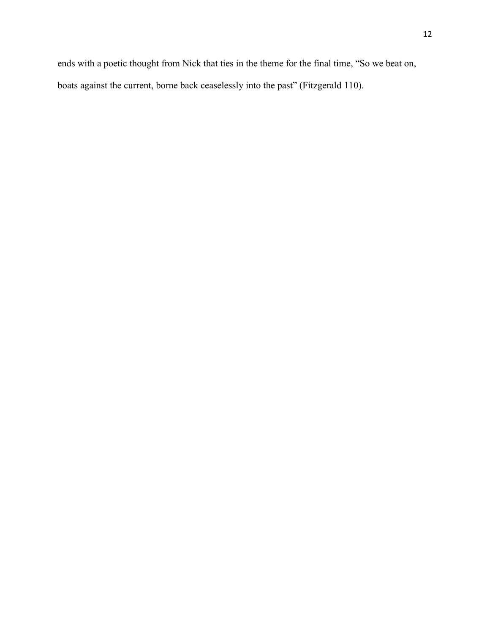ends with a poetic thought from Nick that ties in the theme for the final time, "So we beat on, boats against the current, borne back ceaselessly into the past" (Fitzgerald 110).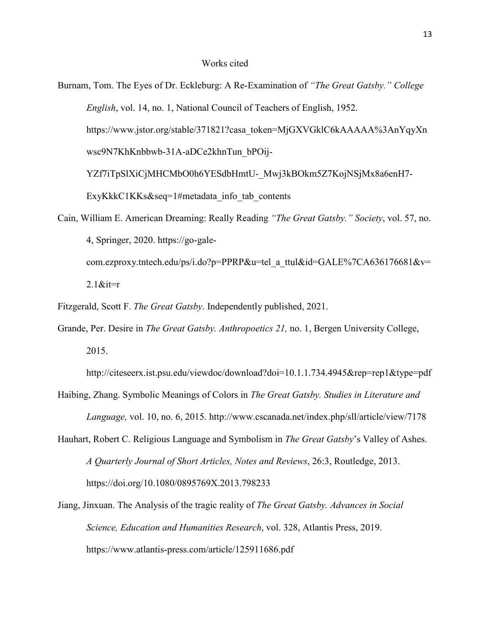- Burnam, Tom. The Eyes of Dr. Eckleburg: A Re-Examination of *"The Great Gatsby." College English*, vol. 14, no. 1, National Council of Teachers of English, 1952. https://www.jstor.org/stable/371821?casa\_token=MjGXVGklC6kAAAAA%3AnYqyXn wsc9N7KhKnbbwb-31A-aDCe2khnTun\_bPOij-YZf7iTpSlXiCjMHCMbO0h6YESdbHmtU-\_Mwj3kBOkm5Z7KojNSjMx8a6enH7-ExyKkkC1KKs&seq=1#metadata info tab contents Cain, William E. American Dreaming: Really Reading *"The Great Gatsby." Society*, vol. 57, no.
- 4, Springer, 2020. https://go-galecom.ezproxy.tntech.edu/ps/i.do?p=PPRP&u=tel\_a\_ttul&id=GALE%7CA636176681&v=  $2.1$ &it=r

Fitzgerald, Scott F. *The Great Gatsby*. Independently published, 2021.

Grande, Per. Desire in *The Great Gatsby. Anthropoetics 21,* no. 1, Bergen University College, 2015.

http://citeseerx.ist.psu.edu/viewdoc/download?doi=10.1.1.734.4945&rep=rep1&type=pdf

- Haibing, Zhang. Symbolic Meanings of Colors in *The Great Gatsby. Studies in Literature and Language,* vol. 10, no. 6, 2015. http://www.cscanada.net/index.php/sll/article/view/7178
- Hauhart, Robert C. Religious Language and Symbolism in *The Great Gatsby*'s Valley of Ashes. *A Quarterly Journal of Short Articles, Notes and Reviews*, 26:3, Routledge, 2013. https://doi.org/10.1080/0895769X.2013.798233
- Jiang, Jinxuan. The Analysis of the tragic reality of *The Great Gatsby. Advances in Social Science, Education and Humanities Research*, vol. 328, Atlantis Press, 2019. https://www.atlantis-press.com/article/125911686.pdf